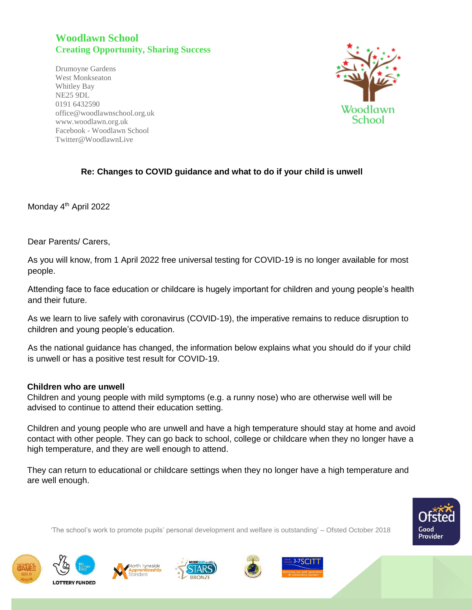## **Woodlawn School Creating Opportunity, Sharing Success**

Drumoyne Gardens West Monkseaton Whitley Bay NE25 9DL 0191 6432590 office@woodlawnschool.org.uk [www.woodlawn.](http://www.woodlawn/)org.uk Facebook - Woodlawn School Twitter@WoodlawnLive



## **Re: Changes to COVID guidance and what to do if your child is unwell**

Monday 4<sup>th</sup> April 2022

Dear Parents/ Carers,

As you will know, from 1 April 2022 free universal testing for COVID-19 is no longer available for most people.

Attending face to face education or childcare is hugely important for children and young people's health and their future.

As we learn to live safely with coronavirus (COVID-19), the imperative remains to reduce disruption to children and young people's education.

As the national guidance has changed, the information below explains what you should do if your child is unwell or has a positive test result for COVID-19.

## **Children who are unwell**

Children and young people with mild symptoms (e.g. a runny nose) who are otherwise well will be advised to continue to attend their education setting.

Children and young people who are unwell and have a high temperature should stay at home and avoid contact with other people. They can go back to school, college or childcare when they no longer have a high temperature, and they are well enough to attend.

They can return to educational or childcare settings when they no longer have a high temperature and are well enough.

'The school's work to promote pupils' personal development and welfare is outstanding' – Ofsted October 2018